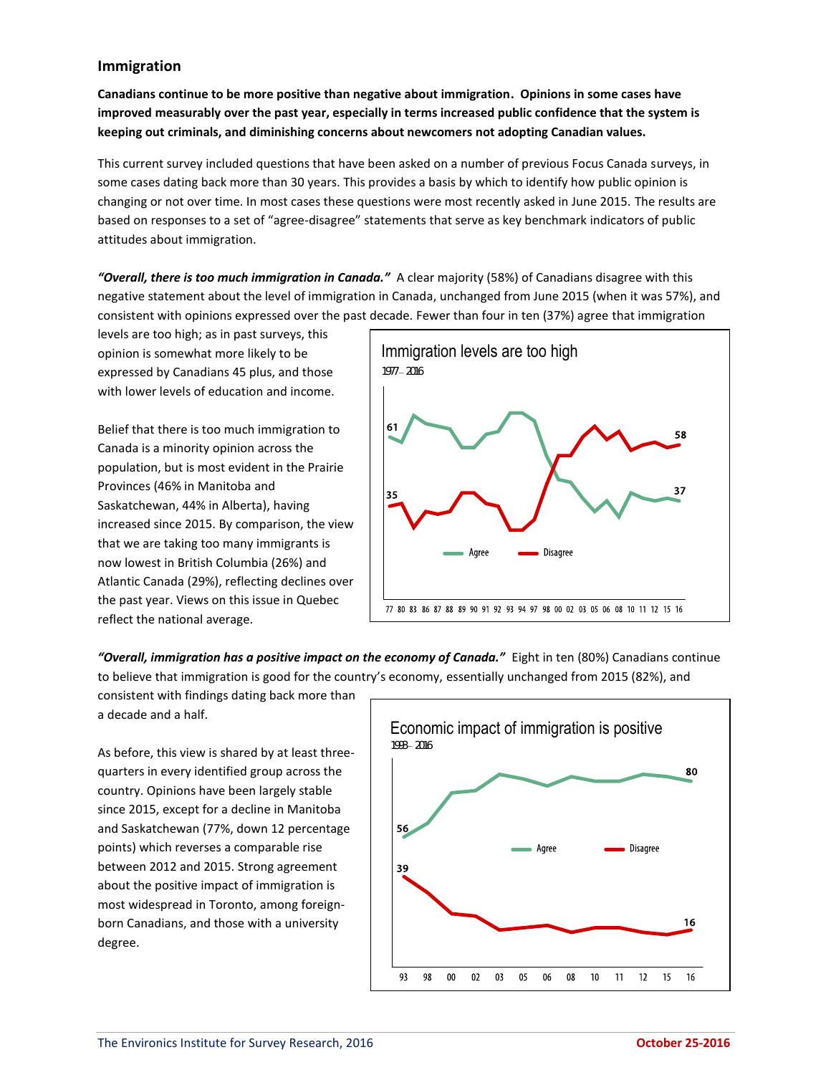## **Immigration**

**Canadians continue to be more positive than negative about immigration. Opinions in some cases have improved measurably over the past year, especially in terms increased public confidence that the system is keeping out criminals, and diminishing concerns about newcomers not adopting Canadian values.**

This current survey included questions that have been asked on a number of previous Focus Canada surveys, in some cases dating back more than 30 years. This provides a basis by which to identify how public opinion is changing or not over time. In most cases these questions were most recently asked in June 2015. The results are based on responses to a set of "agree-disagree" statements that serve as key benchmark indicators of public attitudes about immigration.

*"Overall, there is too much immigration in Canada."* A clear majority (58%) of Canadians disagree with this negative statement about the level of immigration in Canada, unchanged from June 2015 (when it was 57%), and consistent with opinions expressed over the past decade. Fewer than four in ten (37%) agree that immigration

levels are too high; as in past surveys, this opinion is somewhat more likely to be expressed by Canadians 45 plus, and those with lower levels of education and income.

Belief that there is too much immigration to Canada is a minority opinion across the population, but is most evident in the Prairie Provinces (46% in Manitoba and Saskatchewan, 44% in Alberta), having increased since 2015. By comparison, the view that we are taking too many immigrants is now lowest in British Columbia (26%) and Atlantic Canada (29%), reflecting declines over the past year. Views on this issue in Quebec reflect the national average.



*"Overall, immigration has a positive impact on the economy of Canada."* Eight in ten (80%) Canadians continue to believe that immigration is good for the country's economy, essentially unchanged from 2015 (82%), and

consistent with findings dating back more than a decade and a half.

As before, this view is shared by at least threequarters in every identified group across the country. Opinions have been largely stable since 2015, except for a decline in Manitoba and Saskatchewan (77%, down 12 percentage points) which reverses a comparable rise between 2012 and 2015. Strong agreement about the positive impact of immigration is most widespread in Toronto, among foreignborn Canadians, and those with a university degree.

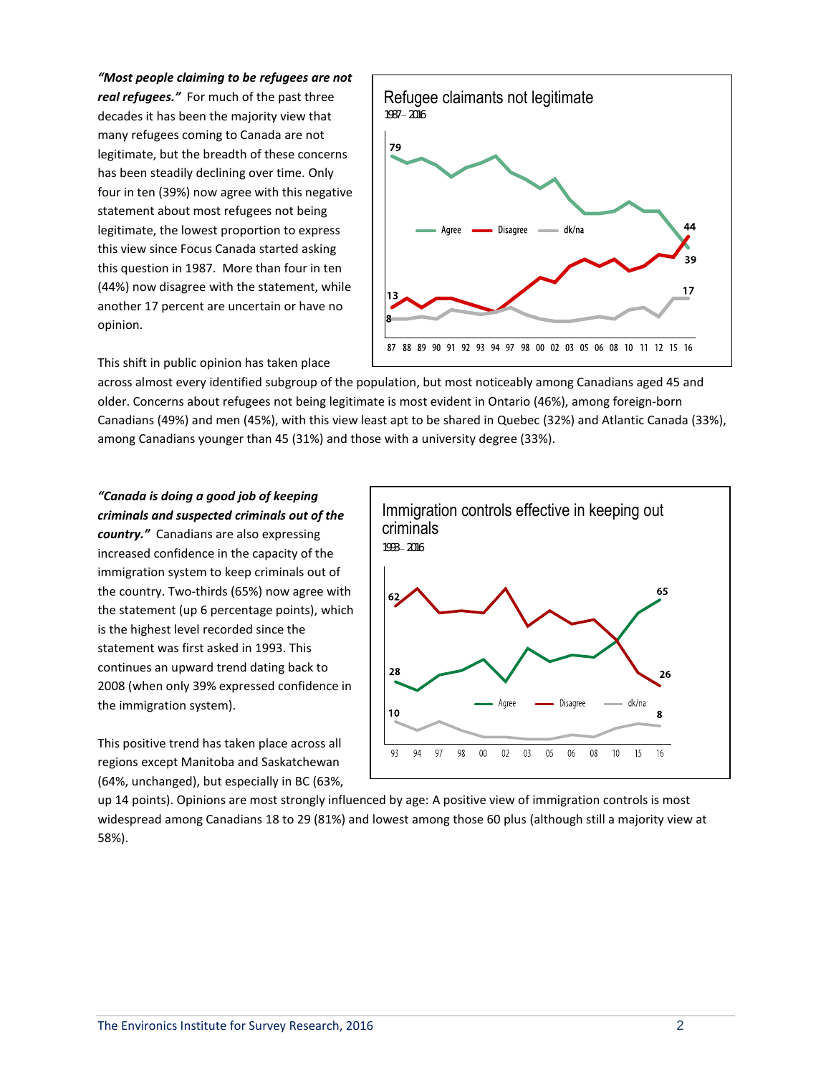*"Most people claiming to be refugees are not real refugees."* For much of the past three decades it has been the majority view that many refugees coming to Canada are not legitimate, but the breadth of these concerns has been steadily declining over time. Only four in ten (39%) now agree with this negative statement about most refugees not being legitimate, the lowest proportion to express this view since Focus Canada started asking this question in 1987. More than four in ten (44%) now disagree with the statement, while another 17 percent are uncertain or have no opinion.



This shift in public opinion has taken place

across almost every identified subgroup of the population, but most noticeably among Canadians aged 45 and older. Concerns about refugees not being legitimate is most evident in Ontario (46%), among foreign-born Canadians (49%) and men (45%), with this view least apt to be shared in Quebec (32%) and Atlantic Canada (33%), among Canadians younger than 45 (31%) and those with a university degree (33%).

*"Canada is doing a good job of keeping criminals and suspected criminals out of the country."* Canadians are also expressing increased confidence in the capacity of the immigration system to keep criminals out of the country. Two-thirds (65%) now agree with the statement (up 6 percentage points), which is the highest level recorded since the statement was first asked in 1993. This continues an upward trend dating back to 2008 (when only 39% expressed confidence in the immigration system).

This positive trend has taken place across all regions except Manitoba and Saskatchewan (64%, unchanged), but especially in BC (63%,



up 14 points). Opinions are most strongly influenced by age: A positive view of immigration controls is most widespread among Canadians 18 to 29 (81%) and lowest among those 60 plus (although still a majority view at 58%).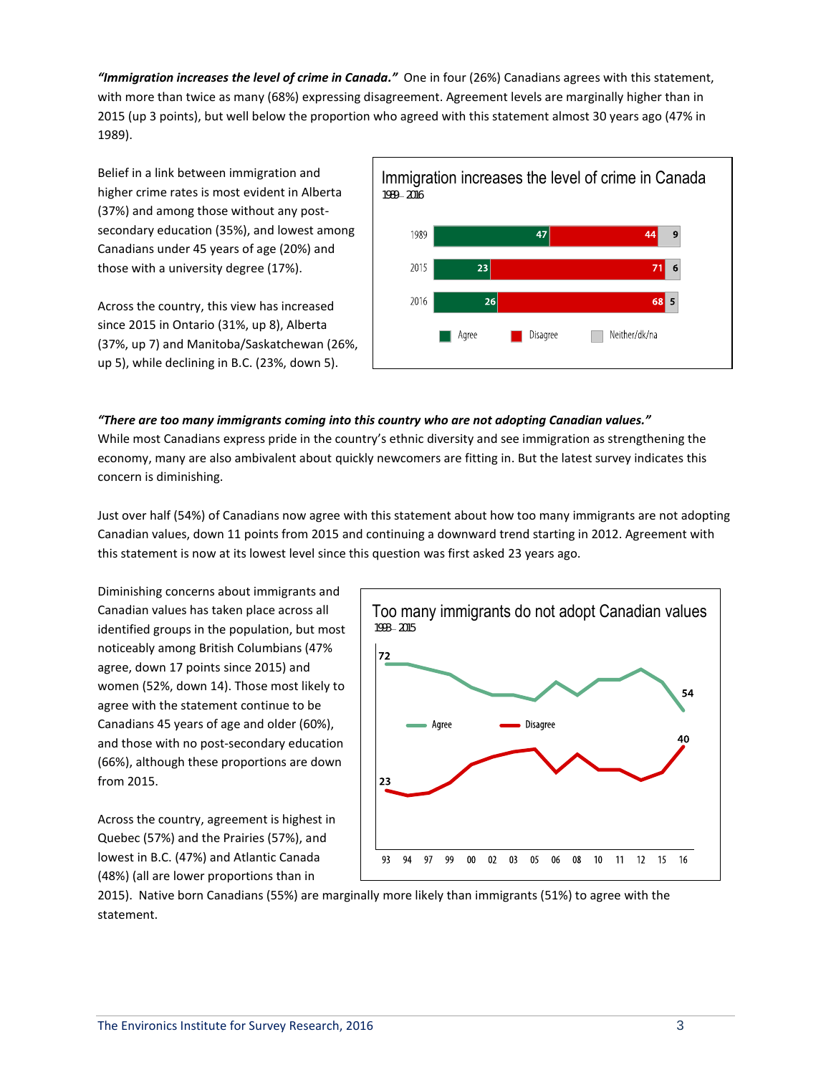*"Immigration increases the level of crime in Canada."* One in four (26%) Canadians agrees with this statement, with more than twice as many (68%) expressing disagreement. Agreement levels are marginally higher than in 2015 (up 3 points), but well below the proportion who agreed with this statement almost 30 years ago (47% in 1989).

Belief in a link between immigration and higher crime rates is most evident in Alberta (37%) and among those without any postsecondary education (35%), and lowest among Canadians under 45 years of age (20%) and those with a university degree (17%).

Across the country, this view has increased since 2015 in Ontario (31%, up 8), Alberta (37%, up 7) and Manitoba/Saskatchewan (26%, up 5), while declining in B.C. (23%, down 5).



## *"There are too many immigrants coming into this country who are not adopting Canadian values."*

While most Canadians express pride in the country's ethnic diversity and see immigration as strengthening the economy, many are also ambivalent about quickly newcomers are fitting in. But the latest survey indicates this concern is diminishing.

Just over half (54%) of Canadians now agree with this statement about how too many immigrants are not adopting Canadian values, down 11 points from 2015 and continuing a downward trend starting in 2012. Agreement with this statement is now at its lowest level since this question was first asked 23 years ago.

Diminishing concerns about immigrants and Canadian values has taken place across all identified groups in the population, but most noticeably among British Columbians (47% agree, down 17 points since 2015) and women (52%, down 14). Those most likely to agree with the statement continue to be Canadians 45 years of age and older (60%), and those with no post-secondary education (66%), although these proportions are down from 2015.

Across the country, agreement is highest in Quebec (57%) and the Prairies (57%), and lowest in B.C. (47%) and Atlantic Canada (48%) (all are lower proportions than in



2015). Native born Canadians (55%) are marginally more likely than immigrants (51%) to agree with the statement.